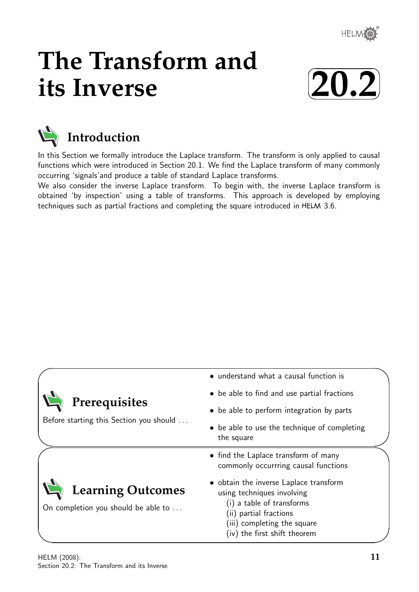

# **The Transform and its Inverse**





In this Section we formally introduce the Laplace transform. The transform is only applied to causal functions which were introduced in Section 20.1. We find the Laplace transform of many commonly occurring 'signals'and produce a table of standard Laplace transforms.

We also consider the inverse Laplace transform. To begin with, the inverse Laplace transform is obtained 'by inspection' using a table of transforms. This approach is developed by employing techniques such as partial fractions and completing the square introduced in HELM 3.6.

|                                                                 | • understand what a causal function is                                                                                                                                                     |  |
|-----------------------------------------------------------------|--------------------------------------------------------------------------------------------------------------------------------------------------------------------------------------------|--|
| Prerequisites<br>Before starting this Section you should        | • be able to find and use partial fractions                                                                                                                                                |  |
|                                                                 | • be able to perform integration by parts                                                                                                                                                  |  |
|                                                                 | • be able to use the technique of completing<br>the square                                                                                                                                 |  |
|                                                                 | • find the Laplace transform of many<br>commonly occurrring causal functions                                                                                                               |  |
| <b>Learning Outcomes</b><br>On completion you should be able to | • obtain the inverse Laplace transform<br>using techniques involving<br>(i) a table of transforms<br>(ii) partial fractions<br>(iii) completing the square<br>(iv) the first shift theorem |  |

 $\overline{\phantom{0}}$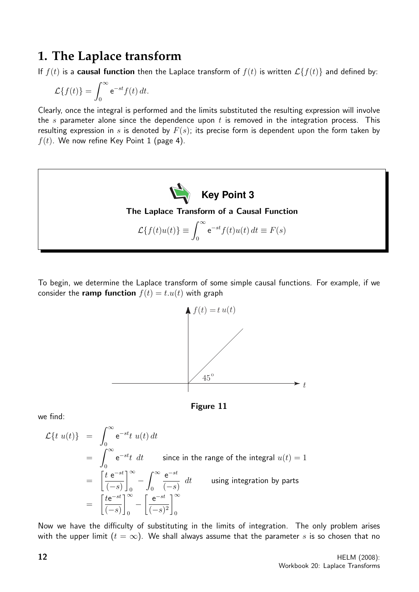# **1. The Laplace transform**

If  $f(t)$  is a **causal function** then the Laplace transform of  $f(t)$  is written  $\mathcal{L}{f(t)}$  and defined by:

$$
\mathcal{L}{f(t)} = \int_0^\infty e^{-st} f(t) dt.
$$

Clearly, once the integral is performed and the limits substituted the resulting expression will involve the s parameter alone since the dependence upon t is removed in the integration process. This resulting expression in s is denoted by  $F(s)$ ; its precise form is dependent upon the form taken by  $f(t)$ . We now refine Key Point 1 (page 4).



To begin, we determine the Laplace transform of some simple causal functions. For example, if we consider the **ramp function**  $f(t) = t \cdot u(t)$  with graph





we find:

$$
\mathcal{L}\lbrace t \ u(t) \rbrace = \int_0^\infty e^{-st} t \ u(t) dt
$$
  
\n
$$
= \int_0^\infty e^{-st} t \ dt \quad \text{since in the range of the integral } u(t) = 1
$$
  
\n
$$
= \left[ \frac{t \ e^{-st}}{(-s)} \right]_0^\infty - \int_0^\infty \frac{e^{-st}}{(-s)} \ dt \quad \text{using integration by parts}
$$
  
\n
$$
= \left[ \frac{t e^{-st}}{(-s)} \right]_0^\infty - \left[ \frac{e^{-st}}{(-s)^2} \right]_0^\infty
$$

Now we have the difficulty of substituting in the limits of integration. The only problem arises with the upper limit  $(t = \infty)$ . We shall always assume that the parameter s is so chosen that no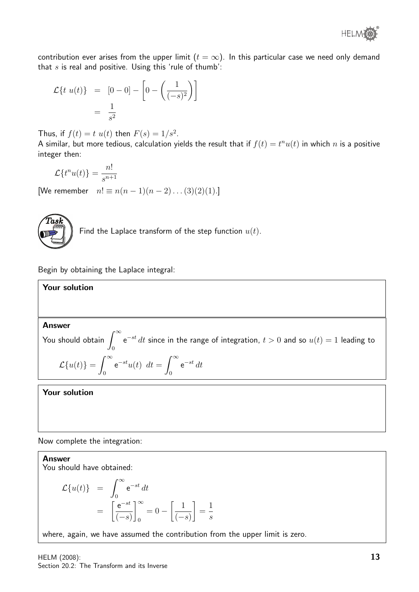

contribution ever arises from the upper limit  $(t = \infty)$ . In this particular case we need only demand that  $s$  is real and positive. Using this 'rule of thumb':

$$
\mathcal{L}\lbrace t \ u(t) \rbrace = [0 - 0] - \left[ 0 - \left( \frac{1}{(-s)^2} \right) \right]
$$

$$
= \frac{1}{s^2}
$$

Thus, if  $f(t) = t u(t)$  then  $F(s) = 1/s^2$ .

A similar, but more tedious, calculation yields the result that if  $f(t) = t^n u(t)$  in which  $n$  is a positive integer then:

$$
\mathcal{L}\lbrace t^n u(t)\rbrace = \frac{n!}{s^{n+1}}
$$

[We remember  $n! \equiv n(n-1)(n-2)...(3)(2)(1).$ ]



Find the Laplace transform of the step function  $u(t)$ .

Begin by obtaining the Laplace integral:

**Your solution**  
\n**Answer**  
\nYou should obtain 
$$
\int_0^\infty e^{-st} dt
$$
 since in the range of integration,  $t > 0$  and so  $u(t) = 1$  leading to  
\n
$$
\mathcal{L}{u(t)} = \int_0^\infty e^{-st} u(t) dt = \int_0^\infty e^{-st} dt
$$

Your solution

Now complete the integration:

Answer You should have obtained:

$$
\mathcal{L}{u(t)} = \int_0^\infty e^{-st} dt
$$
  
=  $\left[\frac{e^{-st}}{(-s)}\right]_0^\infty = 0 - \left[\frac{1}{(-s)}\right] = \frac{1}{s}$ 

where, again, we have assumed the contribution from the upper limit is zero.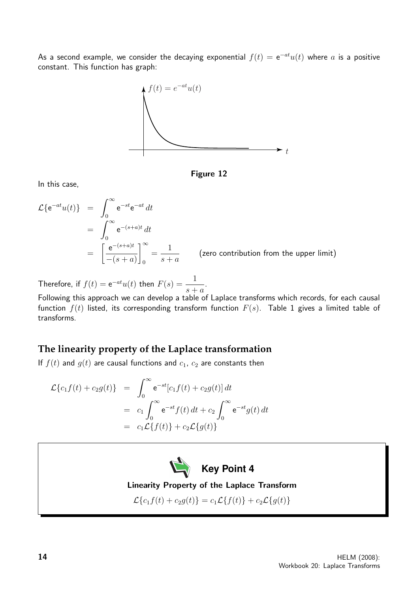As a second example, we consider the decaying exponential  $f(t) = e^{-at}u(t)$  where  $a$  is a positive constant. This function has graph:



Figure 12

In this case,

$$
\mathcal{L}\lbrace e^{-at}u(t)\rbrace = \int_0^\infty e^{-st}e^{-at} dt
$$
  
= 
$$
\int_0^\infty e^{-(s+a)t} dt
$$
  
= 
$$
\left[\frac{e^{-(s+a)t}}{-(s+a)}\right]_0^\infty = \frac{1}{s+a}
$$
 (zero contribution from the upper limit)

Therefore, if  $f(t) = e^{-at}u(t)$  then  $F(s) = \frac{1}{\sqrt{2\pi}}$  $s + a$ .

Following this approach we can develop a table of Laplace transforms which records, for each causal function  $f(t)$  listed, its corresponding transform function  $F(s)$ . Table 1 gives a limited table of transforms.

# **The linearity property of the Laplace transformation**

If  $f(t)$  and  $g(t)$  are causal functions and  $c_1$ ,  $c_2$  are constants then

$$
\mathcal{L}{c_1 f(t) + c_2 g(t)} = \int_0^\infty e^{-st} [c_1 f(t) + c_2 g(t)] dt
$$
  
=  $c_1 \int_0^\infty e^{-st} f(t) dt + c_2 \int_0^\infty e^{-st} g(t) dt$   
=  $c_1 \mathcal{L}{f(t)} + c_2 \mathcal{L}{g(t)}$ 



Linearity Property of the Laplace Transform

 $\mathcal{L}{c_1f(t) + c_2g(t)} = c_1\mathcal{L}{f(t)} + c_2\mathcal{L}{g(t)}$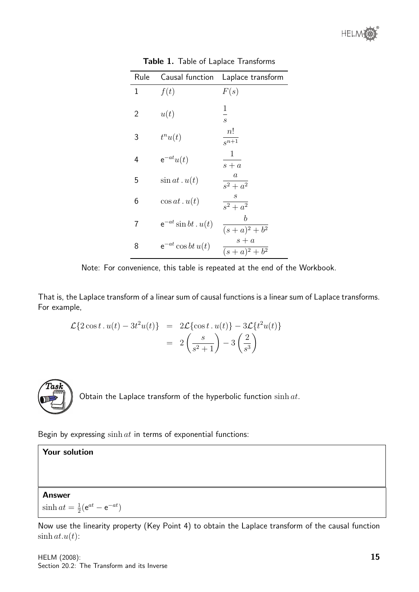

| Rule         | Causal function          | Laplace transform                            |
|--------------|--------------------------|----------------------------------------------|
| $\mathbf{1}$ | f(t)                     | F(s)                                         |
| 2            | u(t)                     | $\mathbf 1$<br>$\overline{s}$                |
| 3            | $t^n u(t)$               | n!<br>$\frac{1}{s^{n+1}}$                    |
| 4            | $e^{-at}u(t)$            | $\mathbf{1}$<br>$s + a$                      |
| 5            | $\sin at \cdot u(t)$     | $\frac{a}{s^2 + a^2}$                        |
| 6            | $\cos at. u(t)$          | $\mathcal{S}_{0}^{2}$<br>$\frac{1}{s^2+a^2}$ |
| 7            | $e^{-at}$ sin bt. $u(t)$ | b<br>$\sqrt{(s+a)^2+b^2}$                    |
| 8            | $e^{-at}\cos bt u(t)$    | $s + a$<br>$(s+a)^2 + b^2$                   |

Table 1. Table of Laplace Transforms

Note: For convenience, this table is repeated at the end of the Workbook.

That is, the Laplace transform of a linear sum of causal functions is a linear sum of Laplace transforms. For example,

$$
\mathcal{L}{2\cos t \cdot u(t) - 3t^2 u(t)} = 2\mathcal{L}{\cos t \cdot u(t)} - 3\mathcal{L}{t^2 u(t)}
$$

$$
= 2\left(\frac{s}{s^2 + 1}\right) - 3\left(\frac{2}{s^3}\right)
$$



Obtain the Laplace transform of the hyperbolic function  $\sinh at$ .

Begin by expressing  $\sinh at$  in terms of exponential functions:

#### Your solution

#### Answer

 $\sinh at = \frac{1}{2}$  $\frac{1}{2}(\mathrm{e}^{at}-\mathrm{e}^{-at})$ 

Now use the linearity property (Key Point 4) to obtain the Laplace transform of the causal function  $\sinh at.u(t)$ :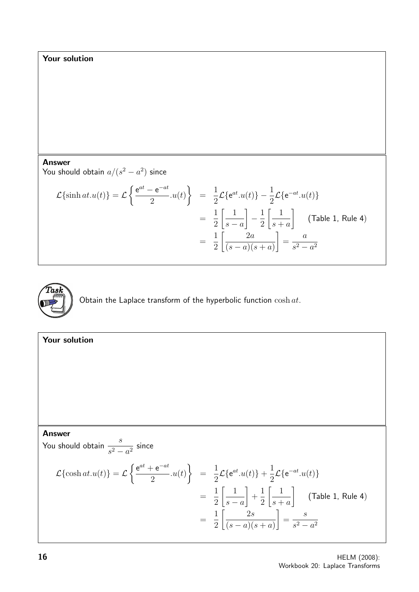#### Your solution

Answer

You should obtain  $a/(s^2-a^2)$  since

$$
\mathcal{L}\{\sinh at. u(t)\} = \mathcal{L}\left\{\frac{e^{at} - e^{-at}}{2}.u(t)\right\} = \frac{1}{2}\mathcal{L}\{e^{at}.u(t)\} - \frac{1}{2}\mathcal{L}\{e^{-at}.u(t)\}
$$

$$
= \frac{1}{2}\left[\frac{1}{s-a}\right] - \frac{1}{2}\left[\frac{1}{s+a}\right] \quad \text{(Table 1, Rule 4)}
$$

$$
= \frac{1}{2}\left[\frac{2a}{(s-a)(s+a)}\right] = \frac{a}{s^2 - a^2}
$$



Obtain the Laplace transform of the hyperbolic function  $\cosh at$ .

#### Your solution Answer You should obtain  $\frac{s}{s}$  $\frac{c}{s^2-a^2}$  since  $\mathcal{L}\{\cosh at.u(t)\} = \mathcal{L}$  $\int e^{at} + e^{-at}$ 2  $u(t)$  $\mathcal{L}$ = 1 2  $\mathcal{L}\left\{e^{at}.u(t)\right\} + \frac{1}{2}$ 2  $\mathcal{L}\lbrace e^{-at}.u(t)\rbrace$ = 1 2  $\begin{bmatrix} 1 \end{bmatrix}$  $s - a$ 1  $+$ 1 2  $\begin{bmatrix} 1 \end{bmatrix}$  $s + a$ 1 (Table 1, Rule 4) = 1 2  $\begin{bmatrix} 2s \end{bmatrix}$  $(s-a)(s+a)$ 1 = s  $s^2 - a^2$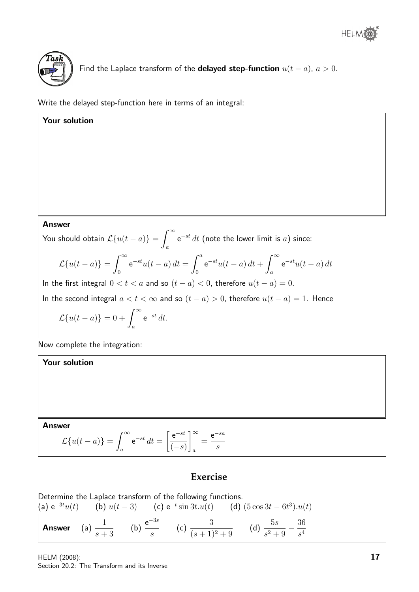

Find the Laplace transform of the **delayed step-function**  $u(t - a)$ ,  $a > 0$ .

Write the delayed step-function here in terms of an integral:

**Answer**  
\n**Answer**  
\nYou should obtain 
$$
\mathcal{L}{u(t-a)} = \int_{a}^{\infty} e^{-st} dt
$$
 (note the lower limit is *a*) since:  
\n
$$
\mathcal{L}{u(t-a)} = \int_{0}^{\infty} e^{-st} u(t-a) dt = \int_{0}^{a} e^{-st} u(t-a) dt + \int_{a}^{\infty} e^{-st} u(t-a) dt
$$
\nIn the first integral  $0 < t < a$  and so  $(t-a) < 0$ , therefore  $u(t-a) = 0$ .  
\nIn the second integral  $a < t < \infty$  and so  $(t-a) > 0$ , therefore  $u(t-a) = 1$ . Hence  
\n
$$
\mathcal{L}{u(t-a)} = 0 + \int_{a}^{\infty} e^{-st} dt.
$$
\nNow complete the integration:  
\n**Your solution**

Answer

$$
\mathcal{L}{u(t-a)} = \int_{a}^{\infty} e^{-st} dt = \left[\frac{e^{-st}}{(-s)}\right]_{a}^{\infty} = \frac{e^{-sa}}{s}
$$

# **Exercise**

Determine the Laplace transform of the following functions.<br>
(a)  $e^{-3t}u(t)$  (b)  $u(t-3)$  (c)  $e^{-t}\sin 3t.u(t)$  (d) (a)  $e^{-3t}u(t)$  (b)  $u(t-3)$  (c)  $e^{-t}\sin 3t \cdot u(t)$  (d)  $(5 \cos 3t - 6t^3) \cdot u(t)$ **Answer** (a)  $\frac{1}{1}$  $s + 3$ (b)  $\frac{e^{-3s}}{s}$ s (c)  $\frac{3}{(1+1)^2}$  $(s + 1)^2 + 9$ (d)  $\frac{5s}{2}$  $s^2 + 9$  $-\frac{36}{4}$ s 4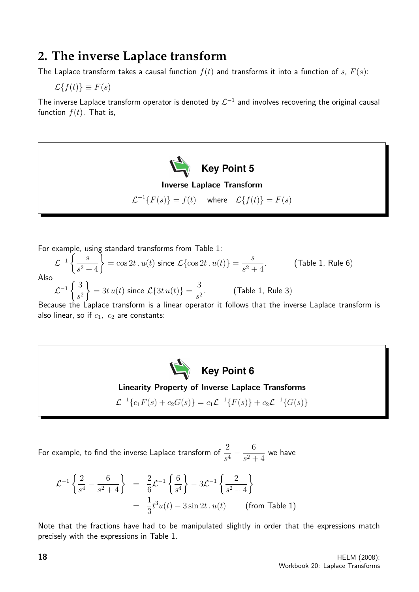# **2. The inverse Laplace transform**

The Laplace transform takes a causal function  $f(t)$  and transforms it into a function of s,  $F(s)$ :

 $\mathcal{L}{f(t)} \equiv F(s)$ 

The inverse Laplace transform operator is denoted by  $\mathcal{L}^{-1}$  and involves recovering the original causal function  $f(t)$ . That is,



For example, using standard transforms from Table 1:

$$
\mathcal{L}^{-1}\left\{\frac{s}{s^2+4}\right\} = \cos 2t \cdot u(t) \text{ since } \mathcal{L}\{\cos 2t \cdot u(t)\} = \frac{s}{s^2+4}. \tag{Table 1, Rule 6}
$$
  
Also  

$$
\mathcal{L}^{-1}\left\{\frac{3}{s^2}\right\} = 3t u(t) \text{ since } \mathcal{L}\{3t u(t)\} = \frac{3}{s^2}. \tag{Table 1, Rule 3}
$$

Because the Laplace transform is a linear operator it follows that the inverse Laplace transform is also linear, so if  $c_1$ ,  $c_2$  are constants:



### Linearity Property of Inverse Laplace Transforms

 $\mathcal{L}^{-1}{c_1F(s) + c_2G(s)} = c_1\mathcal{L}^{-1}{F(s)} + c_2\mathcal{L}^{-1}{G(s)}$ 

For example, to find the inverse Laplace transform of  $\frac{2}{\sqrt{2}}$  $\frac{2}{s^4} - \frac{6}{s^2}$  $\frac{6}{s^2+4}$  we have

$$
\mathcal{L}^{-1}\left\{\frac{2}{s^4} - \frac{6}{s^2 + 4}\right\} = \frac{2}{6}\mathcal{L}^{-1}\left\{\frac{6}{s^4}\right\} - 3\mathcal{L}^{-1}\left\{\frac{2}{s^2 + 4}\right\}
$$

$$
= \frac{1}{3}t^3u(t) - 3\sin 2t \cdot u(t) \qquad \text{(from Table 1)}
$$

Note that the fractions have had to be manipulated slightly in order that the expressions match precisely with the expressions in Table 1.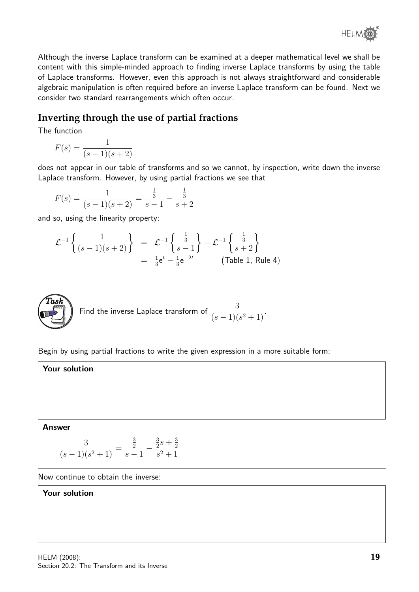

Although the inverse Laplace transform can be examined at a deeper mathematical level we shall be content with this simple-minded approach to finding inverse Laplace transforms by using the table of Laplace transforms. However, even this approach is not always straightforward and considerable algebraic manipulation is often required before an inverse Laplace transform can be found. Next we consider two standard rearrangements which often occur.

# **Inverting through the use of partial fractions**

The function

$$
F(s) = \frac{1}{(s-1)(s+2)}
$$

does not appear in our table of transforms and so we cannot, by inspection, write down the inverse Laplace transform. However, by using partial fractions we see that

$$
F(s) = \frac{1}{(s-1)(s+2)} = \frac{\frac{1}{3}}{s-1} - \frac{\frac{1}{3}}{s+2}
$$

and so, using the linearity property:

$$
\mathcal{L}^{-1}\left\{\frac{1}{(s-1)(s+2)}\right\} = \mathcal{L}^{-1}\left\{\frac{\frac{1}{3}}{s-1}\right\} - \mathcal{L}^{-1}\left\{\frac{\frac{1}{3}}{s+2}\right\}
$$
  
=  $\frac{1}{3}e^{t} - \frac{1}{3}e^{-2t}$  (Table 1, Rule 4)



Begin by using partial fractions to write the given expression in a more suitable form:

Your solution

Answer

$$
\frac{3}{(s-1)(s^2+1)} = \frac{\frac{3}{2}}{s-1} - \frac{\frac{3}{2}s + \frac{3}{2}}{s^2+1}
$$

Now continue to obtain the inverse:

Your solution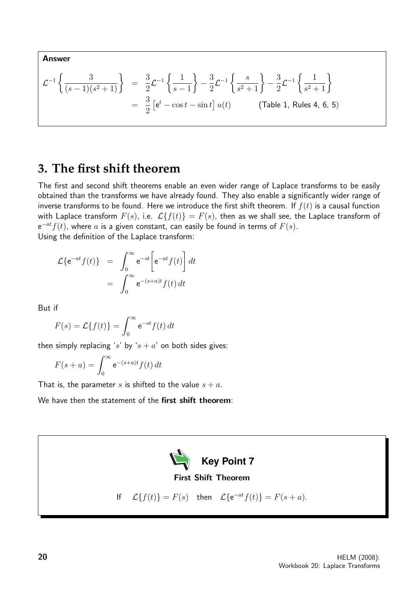Answer

$$
\mathcal{L}^{-1}\left\{\frac{3}{(s-1)(s^2+1)}\right\} = \frac{3}{2}\mathcal{L}^{-1}\left\{\frac{1}{s-1}\right\} - \frac{3}{2}\mathcal{L}^{-1}\left\{\frac{s}{s^2+1}\right\} - \frac{3}{2}\mathcal{L}^{-1}\left\{\frac{1}{s^2+1}\right\}
$$

$$
= \frac{3}{2}\left[e^t - \cos t - \sin t\right]u(t) \qquad \text{(Table 1, Rules 4, 6, 5)}
$$

# **3. The first shift theorem**

The first and second shift theorems enable an even wider range of Laplace transforms to be easily obtained than the transforms we have already found. They also enable a significantly wider range of inverse transforms to be found. Here we introduce the first shift theorem. If  $f(t)$  is a causal function with Laplace transform  $F(s)$ , i.e.  $\mathcal{L}{f(t)} = F(s)$ , then as we shall see, the Laplace transform of  $e^{-at}f(t)$ , where a is a given constant, can easily be found in terms of  $F(s)$ . Using the definition of the Laplace transform:

$$
\mathcal{L}\lbrace e^{-at}f(t)\rbrace = \int_0^\infty e^{-st} \left[e^{-at}f(t)\right] dt
$$

$$
= \int_0^\infty e^{-(s+a)t} f(t) dt
$$

But if

$$
F(s) = \mathcal{L}{f(t)} = \int_0^\infty e^{-st} f(t) dt
$$

then simply replacing 's' by 's + a' on both sides gives:

$$
F(s+a) = \int_0^\infty e^{-(s+a)t} f(t) dt
$$

That is, the parameter s is shifted to the value  $s + a$ .

We have then the statement of the **first shift theorem**:

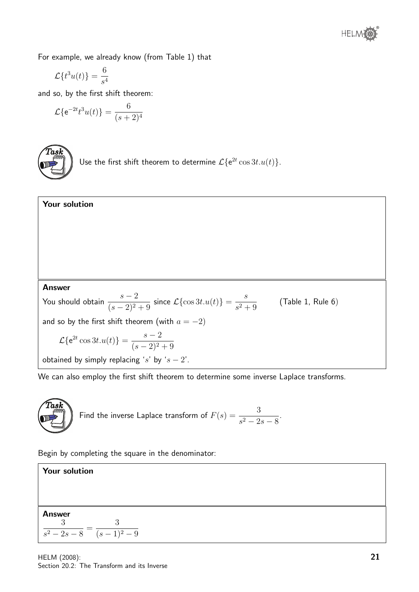For example, we already know (from Table 1) that

$$
\mathcal{L}{t^3u(t)} = \frac{6}{s^4}
$$

and so, by the first shift theorem:

$$
\mathcal{L}\{e^{-2t}t^3u(t)\} = \frac{6}{(s+2)^4}
$$



Use the first shift theorem to determine  $\mathcal{L}\lbrace e^{2t} \cos 3t.u(t) \rbrace$ .



We can also employ the first shift theorem to determine some inverse Laplace transforms.



Begin by completing the square in the denominator:

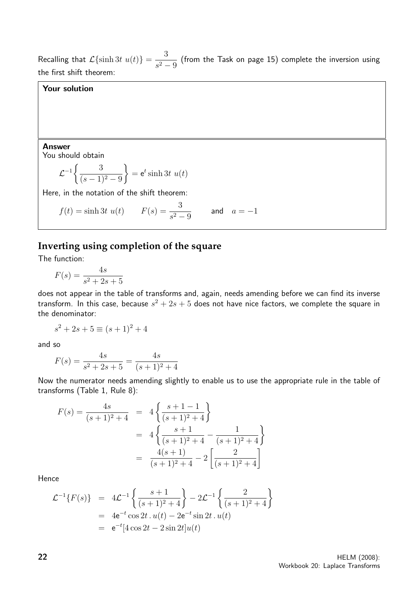Recalling that  $\mathcal{L}\{\sinh 3t \ u(t)\} = \frac{3}{2}$  $\frac{3}{s^2-9}$  (from the Task on page 15) complete the inversion using the first shift theorem:

#### Your solution

Answer You should obtain

$$
\mathcal{L}^{-1}\left\{\frac{3}{(s-1)^2-9}\right\} = \mathsf{e}^t \sinh 3t \ u(t)
$$

Here, in the notation of the shift theorem:

$$
f(t) = \sinh 3t \ u(t)
$$
  $F(s) = \frac{3}{s^2 - 9}$  and  $a = -1$ 

# **Inverting using completion of the square**

The function:

$$
F(s) = \frac{4s}{s^2 + 2s + 5}
$$

does not appear in the table of transforms and, again, needs amending before we can find its inverse transform. In this case, because  $s^2 + 2s + 5$  does not have nice factors, we complete the square in the denominator:

$$
s^2 + 2s + 5 \equiv (s+1)^2 + 4
$$

and so

$$
F(s) = \frac{4s}{s^2 + 2s + 5} = \frac{4s}{(s+1)^2 + 4}
$$

Now the numerator needs amending slightly to enable us to use the appropriate rule in the table of transforms (Table 1, Rule 8):

$$
F(s) = \frac{4s}{(s+1)^2 + 4} = 4\left\{\frac{s+1-1}{(s+1)^2 + 4}\right\}
$$
  
=  $4\left\{\frac{s+1}{(s+1)^2 + 4} - \frac{1}{(s+1)^2 + 4}\right\}$   
=  $\frac{4(s+1)}{(s+1)^2 + 4} - 2\left[\frac{2}{(s+1)^2 + 4}\right]$ 

Hence

$$
\mathcal{L}^{-1}{F(s)} = 4\mathcal{L}^{-1}\left\{\frac{s+1}{(s+1)^2+4}\right\} - 2\mathcal{L}^{-1}\left\{\frac{2}{(s+1)^2+4}\right\}
$$
  
= 4e<sup>-t</sup> cos 2t . u(t) - 2e<sup>-t</sup> sin 2t . u(t)  
= e<sup>-t</sup>[4 cos 2t - 2 sin 2t]u(t)